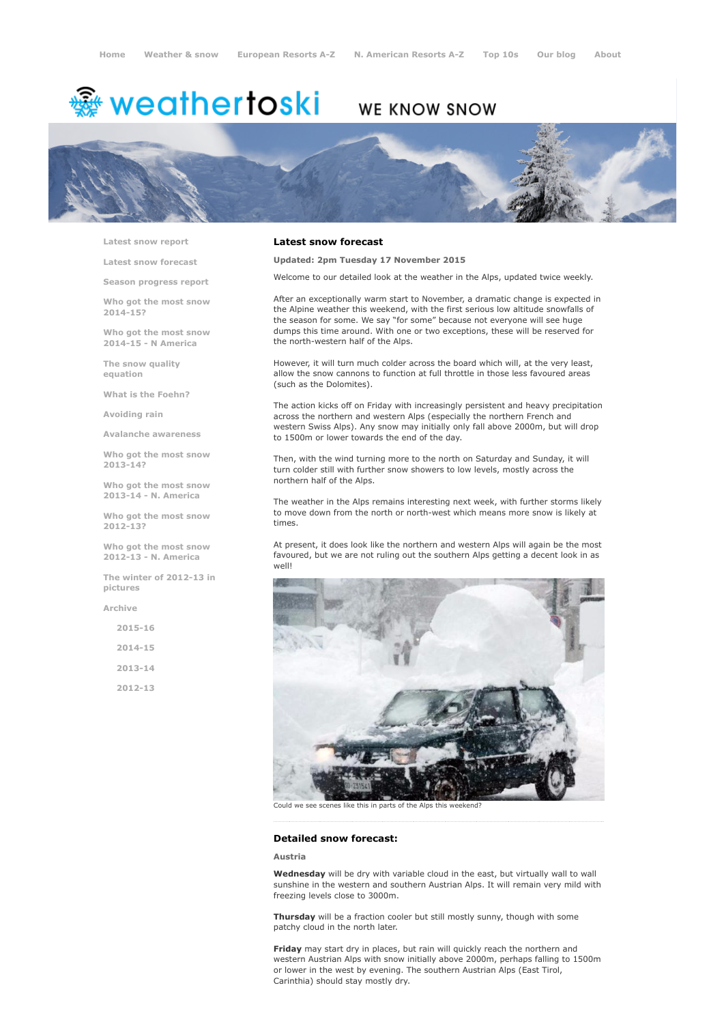# <del>鑾</del> weathertoski

# WE KNOW SNOW



Latest snow [report](http://www.weathertoski.co.uk/weather-snow/latest-snow-report/)

Latest snow [forecast](http://www.weathertoski.co.uk/weather-snow/latest-snow-forecast/)

Season [progress](http://www.weathertoski.co.uk/weather-snow/season-progress-report/) report

Who got the most snow 2014-15?

Who got the most snow 2014-15 - N America

The snow quality [equation](http://www.weathertoski.co.uk/weather-snow/the-snow-quality-equation/)

What is the [Foehn?](http://www.weathertoski.co.uk/weather-snow/what-is-the-foehn/)

[Avoiding](http://www.weathertoski.co.uk/weather-snow/avoiding-rain/) rain

Avalanche [awareness](http://www.weathertoski.co.uk/weather-snow/avalanche-awareness/)

Who got the most snow 2013-14?

Who got the most snow 2013-14 - N. America

Who got the most snow 2012-13?

Who got the most snow 2012-13 - N. America

The winter of 2012-13 in pictures

[Archive](http://www.weathertoski.co.uk/weather-snow/archive/)

2015-16 2014-15

2013-14

2012-13

### Latest snow forecast

Updated: 2pm Tuesday 17 November 2015

Welcome to our detailed look at the weather in the Alps, updated twice weekly.

After an exceptionally warm start to November, a dramatic change is expected in the Alpine weather this weekend, with the first serious low altitude snowfalls of the season for some. We say "for some" because not everyone will see huge dumps this time around. With one or two exceptions, these will be reserved for the north-western half of the Alps.

However, it will turn much colder across the board which will, at the very least, allow the snow cannons to function at full throttle in those less favoured areas (such as the Dolomites).

The action kicks off on Friday with increasingly persistent and heavy precipitation across the northern and western Alps (especially the northern French and western Swiss Alps). Any snow may initially only fall above 2000m, but will drop to 1500m or lower towards the end of the day.

Then, with the wind turning more to the north on Saturday and Sunday, it will turn colder still with further snow showers to low levels, mostly across the northern half of the Alps.

The weather in the Alps remains interesting next week, with further storms likely to move down from the north or north-west which means more snow is likely at times.

At present, it does look like the northern and western Alps will again be the most favoured, but we are not ruling out the southern Alps getting a decent look in as well!



Could we see scenes like this in parts of the Alps this we

#### Detailed snow forecast:

#### Austria

Wednesday will be dry with variable cloud in the east, but virtually wall to wall sunshine in the western and southern Austrian Alps. It will remain very mild with freezing levels close to 3000m.

Thursday will be a fraction cooler but still mostly sunny, though with some patchy cloud in the north later.

Friday may start dry in places, but rain will quickly reach the northern and western Austrian Alps with snow initially above 2000m, perhaps falling to 1500m or lower in the west by evening. The southern Austrian Alps (East Tirol, Carinthia) should stay mostly dry.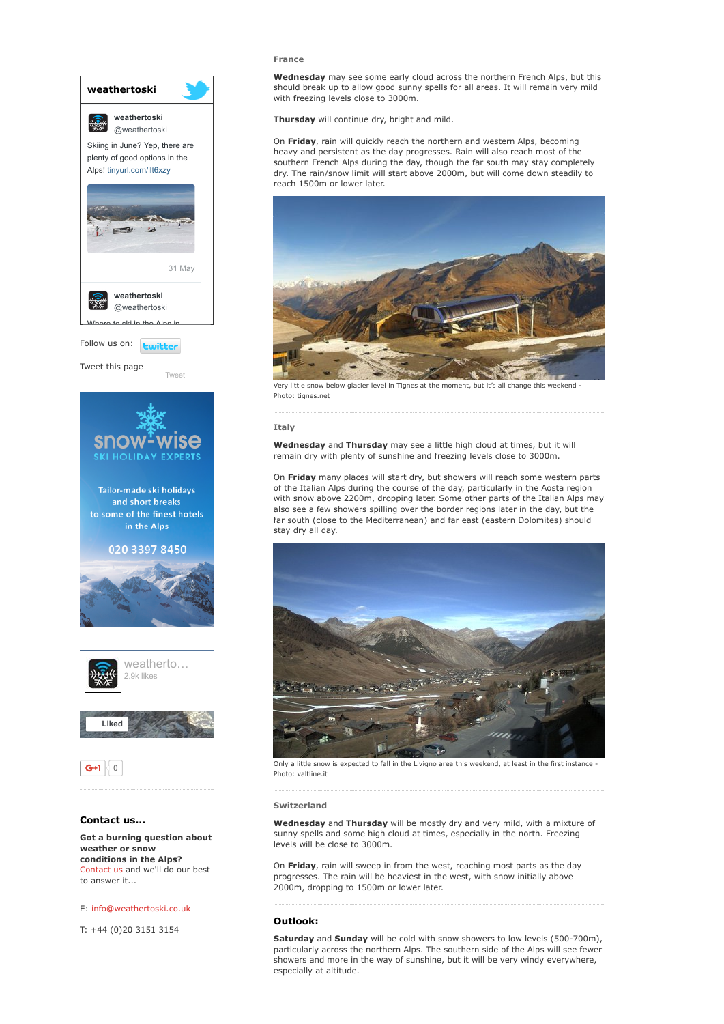

weather or snow conditions in the Alps? [Contact](http://www.weathertoski.co.uk/about-1/contact-us/) us and we'll do our best to answer it...

E: [info@weathertoski.co.uk](mailto:fraser@weathertoski.co.uk)

T: +44 (0)20 3151 3154

#### France

Wednesday may see some early cloud across the northern French Alps, but this should break up to allow good sunny spells for all areas. It will remain very mild with freezing levels close to 3000m.

Thursday will continue dry, bright and mild.

On Friday, rain will quickly reach the northern and western Alps, becoming heavy and persistent as the day progresses. Rain will also reach most of the southern French Alps during the day, though the far south may stay completely dry. The rain/snow limit will start above 2000m, but will come down steadily to reach 1500m or lower later.



Very little snow below glacier level in Tignes at the moment, but it's all change this weekend Photo: tignes.net

#### Italy

Wednesday and Thursday may see a little high cloud at times, but it will remain dry with plenty of sunshine and freezing levels close to 3000m.

On Friday many places will start dry, but showers will reach some western parts of the Italian Alps during the course of the day, particularly in the Aosta region with snow above 2200m, dropping later. Some other parts of the Italian Alps may also see a few showers spilling over the border regions later in the day, but the far south (close to the Mediterranean) and far east (eastern Dolomites) should stay dry all day.



Only a little snow is expected to fall in the Livigno area this weekend, at least in the first instance Photo: valtline.it

#### Switzerland

Wednesday and Thursday will be mostly dry and very mild, with a mixture of sunny spells and some high cloud at times, especially in the north. Freezing levels will be close to 3000m.

On Friday, rain will sweep in from the west, reaching most parts as the day progresses. The rain will be heaviest in the west, with snow initially above 2000m, dropping to 1500m or lower later.

## Outlook:

Saturday and Sunday will be cold with snow showers to low levels (500-700m), particularly across the northern Alps. The southern side of the Alps will see fewer showers and more in the way of sunshine, but it will be very windy everywhere, especially at altitude.